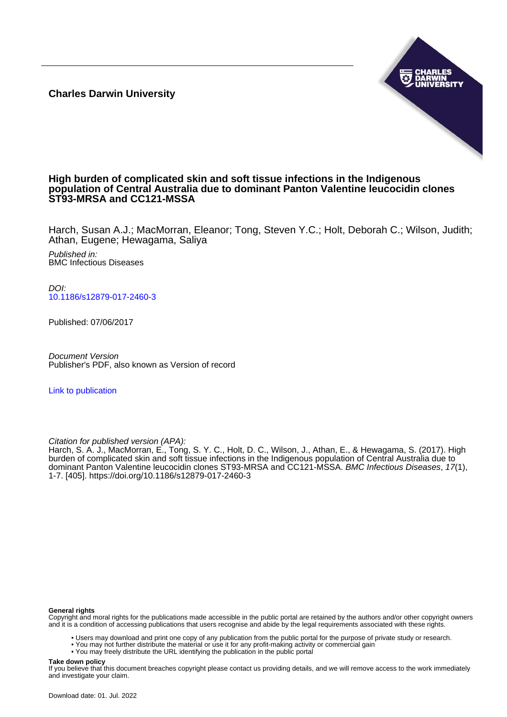**Charles Darwin University**



# **High burden of complicated skin and soft tissue infections in the Indigenous population of Central Australia due to dominant Panton Valentine leucocidin clones ST93-MRSA and CC121-MSSA**

Harch, Susan A.J.; MacMorran, Eleanor; Tong, Steven Y.C.; Holt, Deborah C.; Wilson, Judith; Athan, Eugene; Hewagama, Saliya

Published in: BMC Infectious Diseases

DOI: [10.1186/s12879-017-2460-3](https://doi.org/10.1186/s12879-017-2460-3)

Published: 07/06/2017

Document Version Publisher's PDF, also known as Version of record

[Link to publication](https://researchers.cdu.edu.au/en/publications/8147946e-7acf-4e80-93d7-0c63fb87fc4a)

Citation for published version (APA):

Harch, S. A. J., MacMorran, E., Tong, S. Y. C., Holt, D. C., Wilson, J., Athan, E., & Hewagama, S. (2017). High burden of complicated skin and soft tissue infections in the Indigenous population of Central Australia due to dominant Panton Valentine leucocidin clones ST93-MRSA and CC121-MSSA. BMC Infectious Diseases, 17(1), 1-7. [405]. <https://doi.org/10.1186/s12879-017-2460-3>

#### **General rights**

Copyright and moral rights for the publications made accessible in the public portal are retained by the authors and/or other copyright owners and it is a condition of accessing publications that users recognise and abide by the legal requirements associated with these rights.

- Users may download and print one copy of any publication from the public portal for the purpose of private study or research.
- You may not further distribute the material or use it for any profit-making activity or commercial gain
- You may freely distribute the URL identifying the publication in the public portal

## **Take down policy**

If you believe that this document breaches copyright please contact us providing details, and we will remove access to the work immediately and investigate your claim.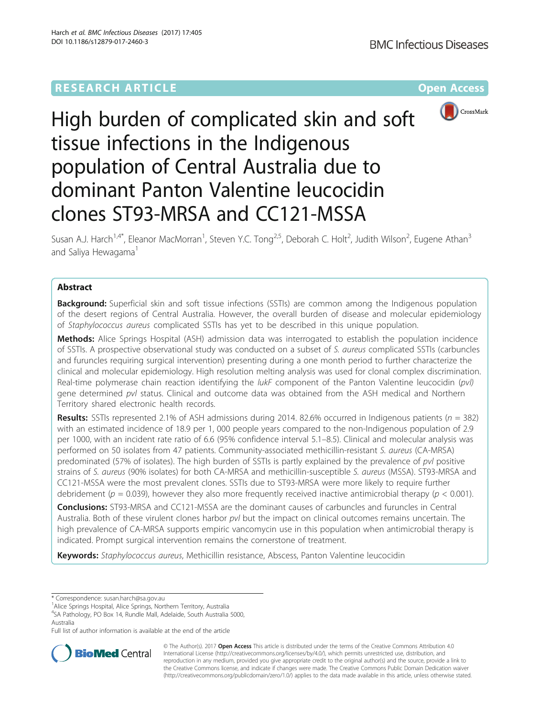# **RESEARCH ARTICLE Example 2014 12:30 The Community Community Community Community Community Community Community**



# High burden of complicated skin and soft tissue infections in the Indigenous population of Central Australia due to dominant Panton Valentine leucocidin clones ST93-MRSA and CC121-MSSA

Susan A.J. Harch $^{1,4^*}$ , Eleanor MacMorran $^1$ , Steven Y.C. Tong $^{2,5}$ , Deborah C. Holt $^2$ , Judith Wilson $^2$ , Eugene Athan $^3$ and Saliya Hewagama<sup>1</sup>

# Abstract

**Background:** Superficial skin and soft tissue infections (SSTIs) are common among the Indigenous population of the desert regions of Central Australia. However, the overall burden of disease and molecular epidemiology of Staphylococcus aureus complicated SSTIs has yet to be described in this unique population.

Methods: Alice Springs Hospital (ASH) admission data was interrogated to establish the population incidence of SSTIs. A prospective observational study was conducted on a subset of S. aureus complicated SSTIs (carbuncles and furuncles requiring surgical intervention) presenting during a one month period to further characterize the clinical and molecular epidemiology. High resolution melting analysis was used for clonal complex discrimination. Real-time polymerase chain reaction identifying the *lukF* component of the Panton Valentine leucocidin (pvl) gene determined pvl status. Clinical and outcome data was obtained from the ASH medical and Northern Territory shared electronic health records.

**Results:** SSTIs represented 2.1% of ASH admissions during 2014. 82.6% occurred in Indigenous patients ( $n = 382$ ) with an estimated incidence of 18.9 per 1, 000 people years compared to the non-Indigenous population of 2.9 per 1000, with an incident rate ratio of 6.6 (95% confidence interval 5.1–8.5). Clinical and molecular analysis was performed on 50 isolates from 47 patients. Community-associated methicillin-resistant S. aureus (CA-MRSA) predominated (57% of isolates). The high burden of SSTIs is partly explained by the prevalence of pvl positive strains of S. aureus (90% isolates) for both CA-MRSA and methicillin-susceptible S. aureus (MSSA). ST93-MRSA and CC121-MSSA were the most prevalent clones. SSTIs due to ST93-MRSA were more likely to require further debridement ( $p = 0.039$ ), however they also more frequently received inactive antimicrobial therapy ( $p < 0.001$ ).

**Conclusions:** ST93-MRSA and CC121-MSSA are the dominant causes of carbuncles and furuncles in Central Australia. Both of these virulent clones harbor pvl but the impact on clinical outcomes remains uncertain. The high prevalence of CA-MRSA supports empiric vancomycin use in this population when antimicrobial therapy is indicated. Prompt surgical intervention remains the cornerstone of treatment.

Keywords: Staphylococcus aureus, Methicillin resistance, Abscess, Panton Valentine leucocidin

\* Correspondence: [susan.harch@sa.gov.au](mailto:susan.harch@sa.gov.au) <sup>1</sup>

<sup>1</sup> Alice Springs Hospital, Alice Springs, Northern Territory, Australia

4 SA Pathology, PO Box 14, Rundle Mall, Adelaide, South Australia 5000, Australia

Full list of author information is available at the end of the article



© The Author(s). 2017 **Open Access** This article is distributed under the terms of the Creative Commons Attribution 4.0 International License [\(http://creativecommons.org/licenses/by/4.0/](http://creativecommons.org/licenses/by/4.0/)), which permits unrestricted use, distribution, and reproduction in any medium, provided you give appropriate credit to the original author(s) and the source, provide a link to the Creative Commons license, and indicate if changes were made. The Creative Commons Public Domain Dedication waiver [\(http://creativecommons.org/publicdomain/zero/1.0/](http://creativecommons.org/publicdomain/zero/1.0/)) applies to the data made available in this article, unless otherwise stated.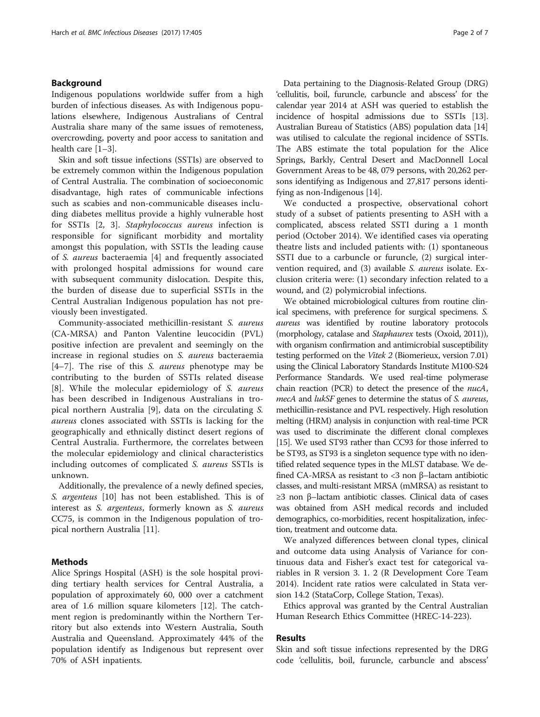# Background

Indigenous populations worldwide suffer from a high burden of infectious diseases. As with Indigenous populations elsewhere, Indigenous Australians of Central Australia share many of the same issues of remoteness, overcrowding, poverty and poor access to sanitation and health care [[1](#page-7-0)–[3\]](#page-7-0).

Skin and soft tissue infections (SSTIs) are observed to be extremely common within the Indigenous population of Central Australia. The combination of socioeconomic disadvantage, high rates of communicable infections such as scabies and non-communicable diseases including diabetes mellitus provide a highly vulnerable host for SSTIs [\[2](#page-7-0), [3\]](#page-7-0). Staphylococcus aureus infection is responsible for significant morbidity and mortality amongst this population, with SSTIs the leading cause of S. aureus bacteraemia [[4\]](#page-7-0) and frequently associated with prolonged hospital admissions for wound care with subsequent community dislocation. Despite this, the burden of disease due to superficial SSTIs in the Central Australian Indigenous population has not previously been investigated.

Community-associated methicillin-resistant S. aureus (CA-MRSA) and Panton Valentine leucocidin (PVL) positive infection are prevalent and seemingly on the increase in regional studies on S. aureus bacteraemia  $[4-7]$  $[4-7]$  $[4-7]$  $[4-7]$ . The rise of this S. *aureus* phenotype may be contributing to the burden of SSTIs related disease [[8\]](#page-7-0). While the molecular epidemiology of S. aureus has been described in Indigenous Australians in tropical northern Australia [[9\]](#page-7-0), data on the circulating S. aureus clones associated with SSTIs is lacking for the geographically and ethnically distinct desert regions of Central Australia. Furthermore, the correlates between the molecular epidemiology and clinical characteristics including outcomes of complicated S. aureus SSTIs is unknown.

Additionally, the prevalence of a newly defined species, S. argenteus [[10\]](#page-7-0) has not been established. This is of interest as S. argenteus, formerly known as S. aureus CC75, is common in the Indigenous population of tropical northern Australia [[11\]](#page-7-0).

## Methods

Alice Springs Hospital (ASH) is the sole hospital providing tertiary health services for Central Australia, a population of approximately 60, 000 over a catchment area of 1.6 million square kilometers [\[12](#page-7-0)]. The catchment region is predominantly within the Northern Territory but also extends into Western Australia, South Australia and Queensland. Approximately 44% of the population identify as Indigenous but represent over 70% of ASH inpatients.

Data pertaining to the Diagnosis-Related Group (DRG) 'cellulitis, boil, furuncle, carbuncle and abscess' for the calendar year 2014 at ASH was queried to establish the incidence of hospital admissions due to SSTIs [[13](#page-7-0)]. Australian Bureau of Statistics (ABS) population data [[14](#page-7-0)] was utilised to calculate the regional incidence of SSTIs. The ABS estimate the total population for the Alice Springs, Barkly, Central Desert and MacDonnell Local Government Areas to be 48, 079 persons, with 20,262 persons identifying as Indigenous and 27,817 persons identifying as non-Indigenous [[14](#page-7-0)].

We conducted a prospective, observational cohort study of a subset of patients presenting to ASH with a complicated, abscess related SSTI during a 1 month period (October 2014). We identified cases via operating theatre lists and included patients with: (1) spontaneous SSTI due to a carbuncle or furuncle, (2) surgical intervention required, and (3) available S. aureus isolate. Exclusion criteria were: (1) secondary infection related to a wound, and (2) polymicrobial infections.

We obtained microbiological cultures from routine clinical specimens, with preference for surgical specimens. S. aureus was identified by routine laboratory protocols (morphology, catalase and Staphaurex tests (Oxoid, 2011)), with organism confirmation and antimicrobial susceptibility testing performed on the Vitek 2 (Biomerieux, version 7.01) using the Clinical Laboratory Standards Institute M100-S24 Performance Standards. We used real-time polymerase chain reaction (PCR) to detect the presence of the nucA, mecA and lukSF genes to determine the status of S. aureus, methicillin-resistance and PVL respectively. High resolution melting (HRM) analysis in conjunction with real-time PCR was used to discriminate the different clonal complexes [[15](#page-7-0)]. We used ST93 rather than CC93 for those inferred to be ST93, as ST93 is a singleton sequence type with no identified related sequence types in the MLST database. We defined CA-MRSA as resistant to <3 non β–lactam antibiotic classes, and multi-resistant MRSA (mMRSA) as resistant to ≥3 non β–lactam antibiotic classes. Clinical data of cases was obtained from ASH medical records and included demographics, co-morbidities, recent hospitalization, infection, treatment and outcome data.

We analyzed differences between clonal types, clinical and outcome data using Analysis of Variance for continuous data and Fisher's exact test for categorical variables in R version 3. 1. 2 (R Development Core Team 2014). Incident rate ratios were calculated in Stata version 14.2 (StataCorp, College Station, Texas).

Ethics approval was granted by the Central Australian Human Research Ethics Committee (HREC-14-223).

# Results

Skin and soft tissue infections represented by the DRG code 'cellulitis, boil, furuncle, carbuncle and abscess'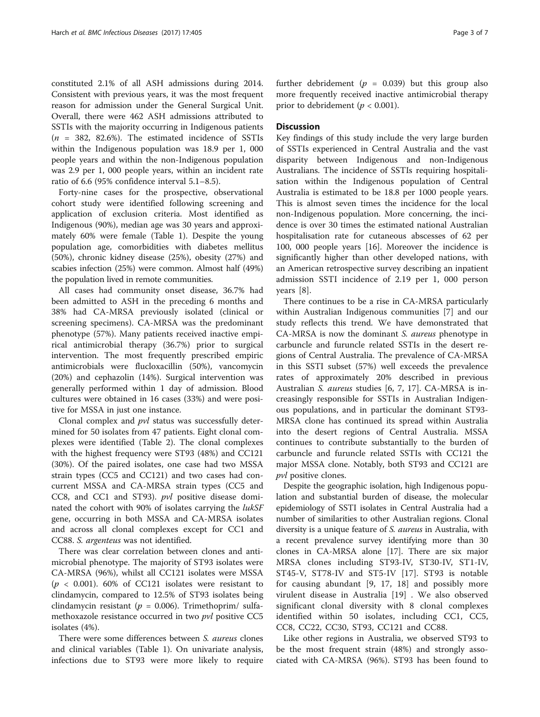constituted 2.1% of all ASH admissions during 2014. Consistent with previous years, it was the most frequent reason for admission under the General Surgical Unit. Overall, there were 462 ASH admissions attributed to SSTIs with the majority occurring in Indigenous patients  $(n = 382, 82.6\%).$  The estimated incidence of SSTIs within the Indigenous population was 18.9 per 1, 000 people years and within the non-Indigenous population was 2.9 per 1, 000 people years, within an incident rate ratio of 6.6 (95% confidence interval 5.1–8.5).

Forty-nine cases for the prospective, observational cohort study were identified following screening and application of exclusion criteria. Most identified as Indigenous (90%), median age was 30 years and approximately 60% were female (Table [1\)](#page-4-0). Despite the young population age, comorbidities with diabetes mellitus (50%), chronic kidney disease (25%), obesity (27%) and scabies infection (25%) were common. Almost half (49%) the population lived in remote communities.

All cases had community onset disease, 36.7% had been admitted to ASH in the preceding 6 months and 38% had CA-MRSA previously isolated (clinical or screening specimens). CA-MRSA was the predominant phenotype (57%). Many patients received inactive empirical antimicrobial therapy (36.7%) prior to surgical intervention. The most frequently prescribed empiric antimicrobials were flucloxacillin (50%), vancomycin (20%) and cephazolin (14%). Surgical intervention was generally performed within 1 day of admission. Blood cultures were obtained in 16 cases (33%) and were positive for MSSA in just one instance.

Clonal complex and pvl status was successfully determined for 50 isolates from 47 patients. Eight clonal complexes were identified (Table [2](#page-5-0)). The clonal complexes with the highest frequency were ST93 (48%) and CC121 (30%). Of the paired isolates, one case had two MSSA strain types (CC5 and CC121) and two cases had concurrent MSSA and CA-MRSA strain types (CC5 and CC8, and CC1 and ST93). *pvl* positive disease dominated the cohort with 90% of isolates carrying the lukSF gene, occurring in both MSSA and CA-MRSA isolates and across all clonal complexes except for CC1 and CC88. S. argenteus was not identified.

There was clear correlation between clones and antimicrobial phenotype. The majority of ST93 isolates were CA-MRSA (96%), whilst all CC121 isolates were MSSA  $(p < 0.001)$ . 60% of CC121 isolates were resistant to clindamycin, compared to 12.5% of ST93 isolates being clindamycin resistant ( $p = 0.006$ ). Trimethoprim/ sulfamethoxazole resistance occurred in two pvl positive CC5 isolates (4%).

There were some differences between S. aureus clones and clinical variables (Table [1](#page-4-0)). On univariate analysis, infections due to ST93 were more likely to require further debridement ( $p = 0.039$ ) but this group also more frequently received inactive antimicrobial therapy prior to debridement ( $p < 0.001$ ).

# **Discussion**

Key findings of this study include the very large burden of SSTIs experienced in Central Australia and the vast disparity between Indigenous and non-Indigenous Australians. The incidence of SSTIs requiring hospitalisation within the Indigenous population of Central Australia is estimated to be 18.8 per 1000 people years. This is almost seven times the incidence for the local non-Indigenous population. More concerning, the incidence is over 30 times the estimated national Australian hospitalisation rate for cutaneous abscesses of 62 per 100, 000 people years [\[16](#page-7-0)]. Moreover the incidence is significantly higher than other developed nations, with an American retrospective survey describing an inpatient admission SSTI incidence of 2.19 per 1, 000 person years [[8](#page-7-0)].

There continues to be a rise in CA-MRSA particularly within Australian Indigenous communities [\[7](#page-7-0)] and our study reflects this trend. We have demonstrated that CA-MRSA is now the dominant S. aureus phenotype in carbuncle and furuncle related SSTIs in the desert regions of Central Australia. The prevalence of CA-MRSA in this SSTI subset (57%) well exceeds the prevalence rates of approximately 20% described in previous Australian S. aureus studies [[6, 7, 17](#page-7-0)]. CA-MRSA is increasingly responsible for SSTIs in Australian Indigenous populations, and in particular the dominant ST93- MRSA clone has continued its spread within Australia into the desert regions of Central Australia. MSSA continues to contribute substantially to the burden of carbuncle and furuncle related SSTIs with CC121 the major MSSA clone. Notably, both ST93 and CC121 are pvl positive clones.

Despite the geographic isolation, high Indigenous population and substantial burden of disease, the molecular epidemiology of SSTI isolates in Central Australia had a number of similarities to other Australian regions. Clonal diversity is a unique feature of S. aureus in Australia, with a recent prevalence survey identifying more than 30 clones in CA-MRSA alone [[17](#page-7-0)]. There are six major MRSA clones including ST93-IV, ST30-IV, ST1-IV, ST45-V, ST78-IV and ST5-IV [\[17](#page-7-0)]. ST93 is notable for causing abundant [\[9](#page-7-0), [17](#page-7-0), [18](#page-7-0)] and possibly more virulent disease in Australia [\[19](#page-7-0)] . We also observed significant clonal diversity with 8 clonal complexes identified within 50 isolates, including CC1, CC5, CC8, CC22, CC30, ST93, CC121 and CC88.

Like other regions in Australia, we observed ST93 to be the most frequent strain (48%) and strongly associated with CA-MRSA (96%). ST93 has been found to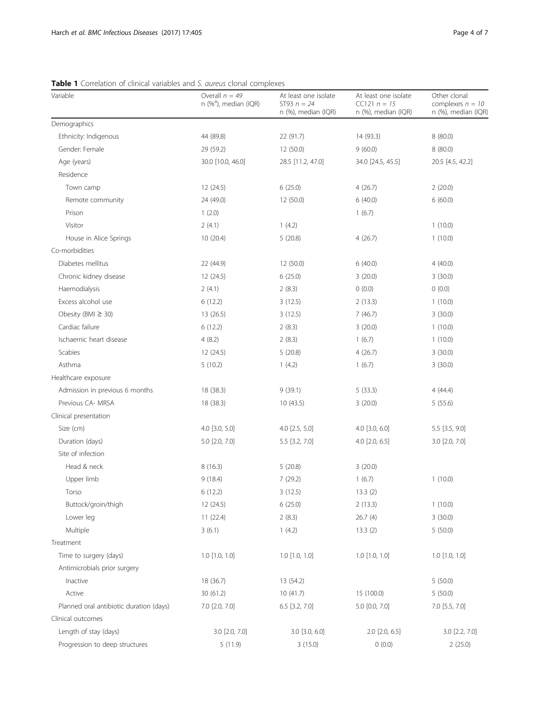| <b>ROUG I</b> CONCIDENT OF CITTICAL VALIABLES ATTU-3, UNICUS CIONAL COMPICACS<br>Variable | Overall $n = 49$<br>n $(\%^a)$ , median (IQR) | At least one isolate<br>ST93 $n = 24$<br>n (%), median (IQR) | At least one isolate<br>$CC121 n = 15$<br>n (%), median (IQR) | Other clonal<br>complexes $n = 10$<br>n (%), median (IQR) |
|-------------------------------------------------------------------------------------------|-----------------------------------------------|--------------------------------------------------------------|---------------------------------------------------------------|-----------------------------------------------------------|
| Demographics                                                                              |                                               |                                                              |                                                               |                                                           |
| Ethnicity: Indigenous                                                                     | 44 (89.8)                                     | 22 (91.7)                                                    | 14 (93.3)                                                     | 8 (80.0)                                                  |
| Gender: Female                                                                            | 29 (59.2)                                     | 12 (50.0)                                                    | 9(60.0)                                                       | 8 (80.0)                                                  |
| Age (years)                                                                               | 30.0 [10.0, 46.0]                             | 28.5 [11.2, 47.0]                                            | 34.0 [24.5, 45.5]                                             | 20.5 [4.5, 42.2]                                          |
| Residence                                                                                 |                                               |                                                              |                                                               |                                                           |
| Town camp                                                                                 | 12 (24.5)                                     | 6(25.0)                                                      | 4(26.7)                                                       | 2(20.0)                                                   |
| Remote community                                                                          | 24 (49.0)                                     | 12 (50.0)                                                    | 6(40.0)                                                       | 6(60.0)                                                   |
| Prison                                                                                    | 1(2.0)                                        |                                                              | 1(6.7)                                                        |                                                           |
| Visitor                                                                                   | 2(4.1)                                        | 1(4.2)                                                       |                                                               | 1(10.0)                                                   |
| House in Alice Springs                                                                    | 10(20.4)                                      | 5(20.8)                                                      | 4(26.7)                                                       | 1(10.0)                                                   |
| Co-morbidities                                                                            |                                               |                                                              |                                                               |                                                           |
| Diabetes mellitus                                                                         | 22 (44.9)                                     | 12(50.0)                                                     | 6(40.0)                                                       | 4(40.0)                                                   |
| Chronic kidney disease                                                                    | 12 (24.5)                                     | 6(25.0)                                                      | 3(20.0)                                                       | 3(30.0)                                                   |
| Haemodialysis                                                                             | 2(4.1)                                        | 2(8.3)                                                       | 0(0.0)                                                        | 0(0.0)                                                    |
| Excess alcohol use                                                                        | 6(12.2)                                       | 3(12.5)                                                      | 2(13.3)                                                       | 1(10.0)                                                   |
| Obesity (BMI $\geq$ 30)                                                                   | 13 (26.5)                                     | 3(12.5)                                                      | 7(46.7)                                                       | 3(30.0)                                                   |
| Cardiac failure                                                                           | 6(12.2)                                       | 2(8.3)                                                       | 3(20.0)                                                       | 1(10.0)                                                   |
| Ischaemic heart disease                                                                   | 4(8.2)                                        | 2(8.3)                                                       | 1(6.7)                                                        | 1(10.0)                                                   |
| Scabies                                                                                   | 12 (24.5)                                     | 5(20.8)                                                      | 4(26.7)                                                       | 3(30.0)                                                   |
| Asthma                                                                                    | 5(10.2)                                       | 1(4.2)                                                       | 1(6.7)                                                        | 3(30.0)                                                   |
| Healthcare exposure                                                                       |                                               |                                                              |                                                               |                                                           |
| Admission in previous 6 months                                                            | 18 (38.3)                                     | 9(39.1)                                                      | 5(33.3)                                                       | 4(44.4)                                                   |
| Previous CA- MRSA                                                                         | 18 (38.3)                                     | 10(43.5)                                                     | 3(20.0)                                                       | 5(55.6)                                                   |
| Clinical presentation                                                                     |                                               |                                                              |                                                               |                                                           |
| Size (cm)                                                                                 | 4.0 [3.0, 5.0]                                | 4.0 [2.5, 5.0]                                               | 4.0 [3.0, 6.0]                                                | 5.5 [3.5, 9.0]                                            |
| Duration (days)                                                                           | 5.0 [2.0, 7.0]                                | 5.5 [3.2, 7.0]                                               | 4.0 [2.0, 6.5]                                                | 3.0 [2.0, 7.0]                                            |
| Site of infection                                                                         |                                               |                                                              |                                                               |                                                           |
| Head & neck                                                                               | 8(16.3)                                       | 5(20.8)                                                      | 3(20.0)                                                       |                                                           |
| Upper limb                                                                                | 9(18.4)                                       | 7(29.2)                                                      | 1(6.7)                                                        | 1(10.0)                                                   |
| Torso                                                                                     | 6(12.2)                                       | 3(12.5)                                                      | 13.3(2)                                                       |                                                           |
| Buttock/groin/thigh                                                                       | 12 (24.5)                                     | 6(25.0)                                                      | 2(13.3)                                                       | 1(10.0)                                                   |
| Lower leg                                                                                 | 11(22.4)                                      | 2(8.3)                                                       | 26.7(4)                                                       | 3(30.0)                                                   |
| Multiple                                                                                  | 3(6.1)                                        | 1(4.2)                                                       | 13.3(2)                                                       | 5(50.0)                                                   |
| Treatment                                                                                 |                                               |                                                              |                                                               |                                                           |
| Time to surgery (days)                                                                    | $1.0$ [1.0, 1.0]                              | $1.0$ [1.0, 1.0]                                             | $1.0$ [1.0, 1.0]                                              | $1.0$ [1.0, 1.0]                                          |
| Antimicrobials prior surgery                                                              |                                               |                                                              |                                                               |                                                           |
| Inactive                                                                                  | 18 (36.7)                                     | 13 (54.2)                                                    |                                                               | 5(50.0)                                                   |
| Active                                                                                    | 30 (61.2)                                     | 10(41.7)                                                     | 15 (100.0)                                                    | 5(50.0)                                                   |
| Planned oral antibiotic duration (days)                                                   | 7.0 [2.0, 7.0]                                | 6.5 [3.2, 7.0]                                               | 5.0 [0.0, 7.0]                                                | 7.0 [5.5, 7.0]                                            |
| Clinical outcomes                                                                         |                                               |                                                              |                                                               |                                                           |
| Length of stay (days)                                                                     | 3.0 [2.0, 7.0]                                | 3.0 [3.0, 6.0]                                               | $2.0$ [2.0, 6.5]                                              | 3.0 [2.2, 7.0]                                            |
| Progression to deep structures                                                            | 5(11.9)                                       | 3(15.0)                                                      | 0(0.0)                                                        | 2(25.0)                                                   |

<span id="page-4-0"></span>Table 1 Correlation of clinical variables and S. aureus clonal complexes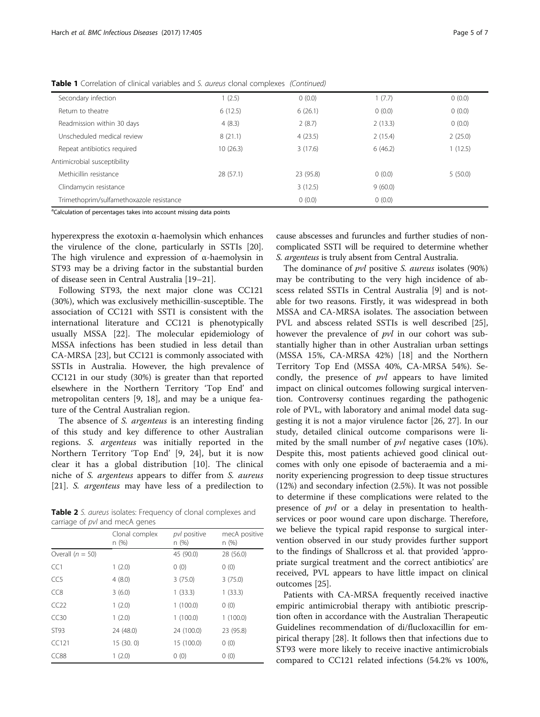| Secondary infection                      | (2.5)    | 0(0.0)    | 1(7.7)  | 0(0.0)  |
|------------------------------------------|----------|-----------|---------|---------|
| Return to theatre                        | 6(12.5)  | 6(26.1)   | 0(0.0)  | 0(0.0)  |
| Readmission within 30 days               | 4(8.3)   | 2(8.7)    | 2(13.3) | 0(0.0)  |
| Unscheduled medical review               | 8(21.1)  | 4(23.5)   | 2(15.4) | 2(25.0) |
| Repeat antibiotics required              | 10(26.3) | 3(17.6)   | 6(46.2) | 1(12.5) |
| Antimicrobial susceptibility             |          |           |         |         |
| Methicillin resistance                   | 28(57.1) | 23 (95.8) | 0(0.0)  | 5(50.0) |
| Clindamycin resistance                   |          | 3(12.5)   | 9(60.0) |         |
| Trimethoprim/sulfamethoxazole resistance |          | 0(0.0)    | 0(0.0)  |         |
|                                          |          |           |         |         |

<span id="page-5-0"></span>**Table 1** Correlation of clinical variables and S. aureus clonal complexes (Continued)

<sup>a</sup>Calculation of percentages takes into account missing data points

hyperexpress the exotoxin α-haemolysin which enhances the virulence of the clone, particularly in SSTIs [\[20](#page-7-0)]. The high virulence and expression of α-haemolysin in ST93 may be a driving factor in the substantial burden of disease seen in Central Australia [\[19](#page-7-0)–[21\]](#page-7-0).

Following ST93, the next major clone was CC121 (30%), which was exclusively methicillin-susceptible. The association of CC121 with SSTI is consistent with the international literature and CC121 is phenotypically usually MSSA [\[22](#page-7-0)]. The molecular epidemiology of MSSA infections has been studied in less detail than CA-MRSA [\[23](#page-7-0)], but CC121 is commonly associated with SSTIs in Australia. However, the high prevalence of CC121 in our study (30%) is greater than that reported elsewhere in the Northern Territory 'Top End' and metropolitan centers [\[9](#page-7-0), [18](#page-7-0)], and may be a unique feature of the Central Australian region.

The absence of *S. argenteus* is an interesting finding of this study and key difference to other Australian regions. S. argenteus was initially reported in the Northern Territory 'Top End' [[9, 24](#page-7-0)], but it is now clear it has a global distribution [\[10](#page-7-0)]. The clinical niche of S. argenteus appears to differ from S. aureus [[21\]](#page-7-0). S. argenteus may have less of a predilection to

Table 2 S. aureus isolates: Frequency of clonal complexes and carriage of pvl and mecA genes

|                    | Clonal complex<br>n(%) | pvl positive<br>n (%) | mecA positive<br>n (%) |
|--------------------|------------------------|-----------------------|------------------------|
| Overall $(n = 50)$ |                        | 45 (90.0)             | 28 (56.0)              |
| CC <sub>1</sub>    | 1(2.0)                 | 0(0)                  | 0(0)                   |
| CC <sub>5</sub>    | 4(8.0)                 | 3(75.0)               | 3(75.0)                |
| CC <sub>8</sub>    | 3(6.0)                 | 1(33.3)               | 1(33.3)                |
| CC22               | 1(2.0)                 | 1(100.0)              | 0(0)                   |
| CC30               | 1(2.0)                 | 1(100.0)              | 1(100.0)               |
| <b>ST93</b>        | 24 (48.0)              | 24 (100.0)            | 23 (95.8)              |
| CC121              | 15(30.0)               | 15 (100.0)            | 0(0)                   |
| CC88               | 1(2.0)                 | 0(0)                  | 0(0)                   |

cause abscesses and furuncles and further studies of noncomplicated SSTI will be required to determine whether S. argenteus is truly absent from Central Australia.

The dominance of *pvl* positive *S. aureus* isolates (90%) may be contributing to the very high incidence of abscess related SSTIs in Central Australia [[9](#page-7-0)] and is notable for two reasons. Firstly, it was widespread in both MSSA and CA-MRSA isolates. The association between PVL and abscess related SSTIs is well described [\[25](#page-7-0)], however the prevalence of *pvl* in our cohort was substantially higher than in other Australian urban settings (MSSA 15%, CA-MRSA 42%) [[18\]](#page-7-0) and the Northern Territory Top End (MSSA 40%, CA-MRSA 54%). Secondly, the presence of  $pvl$  appears to have limited impact on clinical outcomes following surgical intervention. Controversy continues regarding the pathogenic role of PVL, with laboratory and animal model data suggesting it is not a major virulence factor [[26](#page-7-0), [27\]](#page-7-0). In our study, detailed clinical outcome comparisons were limited by the small number of  $pvl$  negative cases (10%). Despite this, most patients achieved good clinical outcomes with only one episode of bacteraemia and a minority experiencing progression to deep tissue structures (12%) and secondary infection (2.5%). It was not possible to determine if these complications were related to the presence of pvl or a delay in presentation to healthservices or poor wound care upon discharge. Therefore, we believe the typical rapid response to surgical intervention observed in our study provides further support to the findings of Shallcross et al. that provided 'appropriate surgical treatment and the correct antibiotics' are received, PVL appears to have little impact on clinical outcomes [\[25](#page-7-0)].

Patients with CA-MRSA frequently received inactive empiric antimicrobial therapy with antibiotic prescription often in accordance with the Australian Therapeutic Guidelines recommendation of di/flucloxacillin for empirical therapy [[28\]](#page-7-0). It follows then that infections due to ST93 were more likely to receive inactive antimicrobials compared to CC121 related infections (54.2% vs 100%,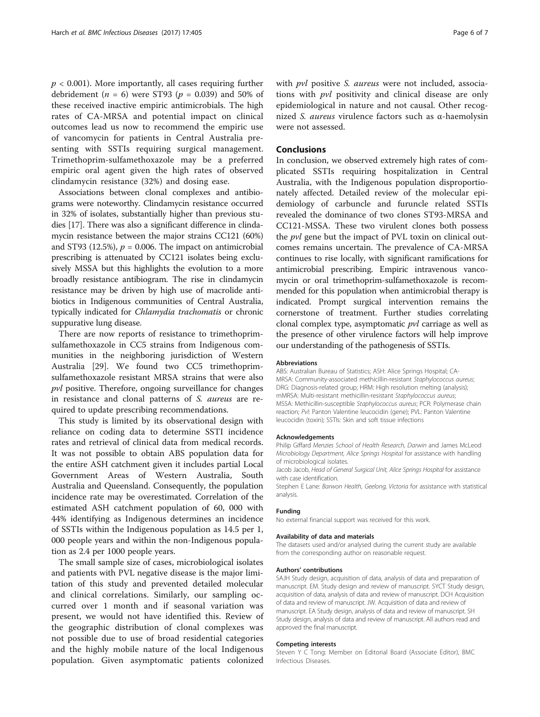$p < 0.001$ ). More importantly, all cases requiring further debridement ( $n = 6$ ) were ST93 ( $p = 0.039$ ) and 50% of these received inactive empiric antimicrobials. The high rates of CA-MRSA and potential impact on clinical outcomes lead us now to recommend the empiric use of vancomycin for patients in Central Australia presenting with SSTIs requiring surgical management. Trimethoprim-sulfamethoxazole may be a preferred empiric oral agent given the high rates of observed clindamycin resistance (32%) and dosing ease.

Associations between clonal complexes and antibiograms were noteworthy. Clindamycin resistance occurred in 32% of isolates, substantially higher than previous studies [\[17\]](#page-7-0). There was also a significant difference in clindamycin resistance between the major strains CC121 (60%) and ST93 (12.5%),  $p = 0.006$ . The impact on antimicrobial prescribing is attenuated by CC121 isolates being exclusively MSSA but this highlights the evolution to a more broadly resistance antibiogram. The rise in clindamycin resistance may be driven by high use of macrolide antibiotics in Indigenous communities of Central Australia, typically indicated for Chlamydia trachomatis or chronic suppurative lung disease.

There are now reports of resistance to trimethoprimsulfamethoxazole in CC5 strains from Indigenous communities in the neighboring jurisdiction of Western Australia [[29\]](#page-7-0). We found two CC5 trimethoprimsulfamethoxazole resistant MRSA strains that were also pvl positive. Therefore, ongoing surveillance for changes in resistance and clonal patterns of S. aureus are required to update prescribing recommendations.

This study is limited by its observational design with reliance on coding data to determine SSTI incidence rates and retrieval of clinical data from medical records. It was not possible to obtain ABS population data for the entire ASH catchment given it includes partial Local Government Areas of Western Australia, South Australia and Queensland. Consequently, the population incidence rate may be overestimated. Correlation of the estimated ASH catchment population of 60, 000 with 44% identifying as Indigenous determines an incidence of SSTIs within the Indigenous population as 14.5 per 1, 000 people years and within the non-Indigenous population as 2.4 per 1000 people years.

The small sample size of cases, microbiological isolates and patients with PVL negative disease is the major limitation of this study and prevented detailed molecular and clinical correlations. Similarly, our sampling occurred over 1 month and if seasonal variation was present, we would not have identified this. Review of the geographic distribution of clonal complexes was not possible due to use of broad residential categories and the highly mobile nature of the local Indigenous population. Given asymptomatic patients colonized

with pvl positive S. aureus were not included, associations with pvl positivity and clinical disease are only epidemiological in nature and not causal. Other recognized S. aureus virulence factors such as α-haemolysin were not assessed.

# **Conclusions**

In conclusion, we observed extremely high rates of complicated SSTIs requiring hospitalization in Central Australia, with the Indigenous population disproportionately affected. Detailed review of the molecular epidemiology of carbuncle and furuncle related SSTIs revealed the dominance of two clones ST93-MRSA and CC121-MSSA. These two virulent clones both possess the *pvl* gene but the impact of PVL toxin on clinical outcomes remains uncertain. The prevalence of CA-MRSA continues to rise locally, with significant ramifications for antimicrobial prescribing. Empiric intravenous vancomycin or oral trimethoprim-sulfamethoxazole is recommended for this population when antimicrobial therapy is indicated. Prompt surgical intervention remains the cornerstone of treatment. Further studies correlating clonal complex type, asymptomatic pvl carriage as well as the presence of other virulence factors will help improve our understanding of the pathogenesis of SSTIs.

#### Abbreviations

ABS: Australian Bureau of Statistics; ASH: Alice Springs Hospital; CA-MRSA: Community-associated methicillin-resistant Staphylococcus aureus; DRG: Diagnosis-related group; HRM: High resolution melting (analysis); mMRSA: Multi-resistant methicillin-resistant Staphylococcus aureus; MSSA: Methicillin-susceptible Staphylococcus aureus; PCR: Polymerase chain reaction; Pvl: Panton Valentine leucocidin (gene); PVL: Panton Valentine leucocidin (toxin); SSTIs: Skin and soft tissue infections

#### Acknowledgements

Philip Giffard Menzies School of Health Research, Darwin and James McLeod Microbiology Department, Alice Springs Hospital for assistance with handling of microbiological isolates.

Jacob Jacob, Head of General Surgical Unit, Alice Springs Hospital for assistance with case identification.

Stephen E Lane: Barwon Health, Geelong, Victoria for assistance with statistical analysis.

#### Funding

No external financial support was received for this work.

#### Availability of data and materials

The datasets used and/or analysed during the current study are available from the corresponding author on reasonable request.

#### Authors' contributions

SAJH Study design, acquisition of data, analysis of data and preparation of manuscript. EM. Study design and review of manuscript. SYCT Study design, acquisition of data, analysis of data and review of manuscript. DCH Acquisition of data and review of manuscript. JW. Acquisition of data and review of manuscript. EA Study design, analysis of data and review of manuscript. SH Study design, analysis of data and review of manuscript. All authors read and approved the final manuscript.

#### Competing interests

Steven Y C Tong: Member on Editorial Board (Associate Editor), BMC Infectious Diseases.